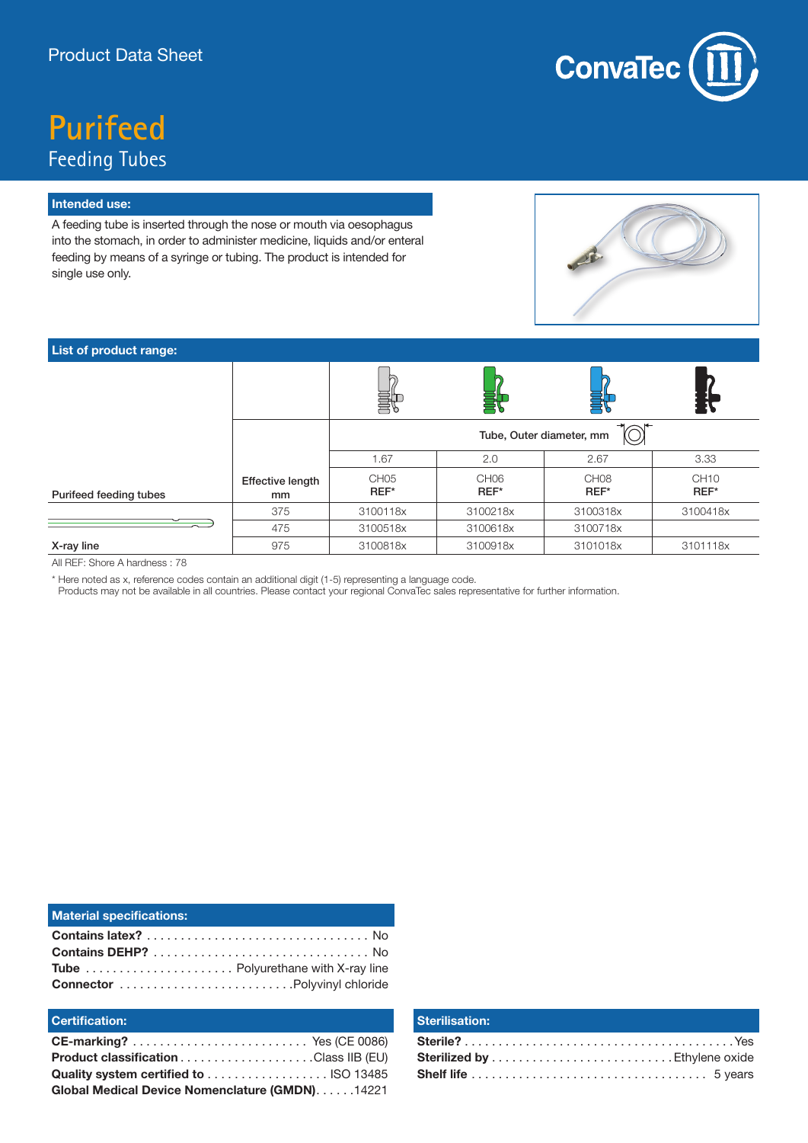

# **Purifeed** Feeding Tubes

#### **Intended use:**

A feeding tube is inserted through the nose or mouth via oesophagus into the stomach, in order to administer medicine, liquids and/or enteral feeding by means of a syringe or tubing. The product is intended for single use only.



## **List of product range:**

|                        |                        | Tube, Outer diameter, mm |                          |                          |                     |  |
|------------------------|------------------------|--------------------------|--------------------------|--------------------------|---------------------|--|
|                        |                        | 1.67                     | 2.0                      | 2.67                     | 3.33                |  |
| Purifeed feeding tubes | Effective length<br>mm | CH <sub>05</sub><br>REF* | CH <sub>06</sub><br>REF* | CH <sub>08</sub><br>REF* | <b>CH10</b><br>REF* |  |
|                        | 375                    | 3100118x                 | 3100218x                 | 3100318x                 | 3100418x            |  |
|                        | 475                    | 3100518x                 | 3100618x                 | 3100718x                 |                     |  |
| X-ray line             | 975                    | 3100818x                 | 3100918x                 | 3101018x                 | 3101118x            |  |

All REF: Shore A hardness : 78

\* Here noted as x, reference codes contain an additional digit (1-5) representing a language code.

Products may not be available in all countries. Please contact your regional ConvaTec sales representative for further information.

| <b>Material specifications:</b> |  |
|---------------------------------|--|
|                                 |  |
|                                 |  |
|                                 |  |
| Connector Polyvinyl chloride    |  |

### **Certification:**

| <b>Product classification Class IIB (EU)</b>   |  |
|------------------------------------------------|--|
|                                                |  |
| Global Medical Device Nomenclature (GMDN)14221 |  |

#### **Sterilisation:**